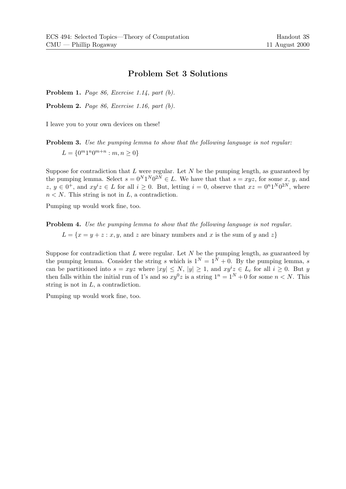## Problem Set 3 Solutions

Problem 1. Page 86, Exercise 1.14, part (b).

Problem 2. Page 86, Exercise 1.16, part (b).

I leave you to your own devices on these!

Problem 3. Use the pumping lemma to show that the following language is not regular:  $L = \{0^m 1^n 0^{m+n} : m, n \ge 0\}$ 

Suppose for contradiction that  $L$  were regular. Let  $N$  be the pumping length, as guaranteed by the pumping lemma. Select  $s = 0^N 1^N 0^{2N} \in L$ . We have that that  $s = xyz$ , for some x, y, and  $z, y \in 0^+$ , and  $xy^i z \in L$  for all  $i \geq 0$ . But, letting  $i = 0$ , observe that  $xz = 0^n 1^N 0^{2N}$ , where  $n < N$ . This string is not in L, a contradiction.

Pumping up would work fine, too.

Problem 4. Use the pumping lemma to show that the following language is not regular.  $L = \{x = y + z : x, y, \text{ and } z \text{ are binary numbers and } x \text{ is the sum of } y \text{ and } z\}$ 

Suppose for contradiction that  $L$  were regular. Let  $N$  be the pumping length, as guaranteed by the pumping lemma. Consider the string s which is  $1^N = 1^N + 0$ . By the pumping lemma, s can be partitioned into  $s = xyz$  where  $|xy| \le N$ ,  $|y| \ge 1$ , and  $xy^iz \in L_c$  for all  $i \ge 0$ . But y then falls within the initial run of 1's and so  $xy^0z$  is a string  $1^n = 1^N + 0$  for some  $n < N$ . This string is not in L, a contradiction.

Pumping up would work fine, too.